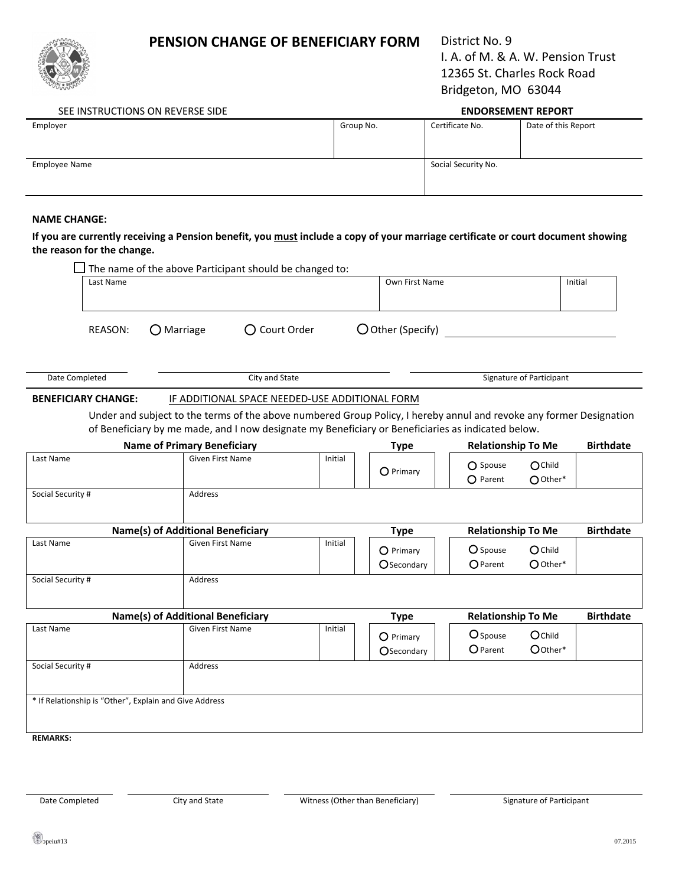## **PENSION CHANGE OF BENEFICIARY FORM** District No. 9



I. A. of M. & A. W. Pension Trust 12365 St. Charles Rock Road Bridgeton, MO 63044

### SEE INSTRUCTIONS ON REVERSE SIDE **ENDORSEMENT REPORT**

| Employer      | Group No. |                 | Date of this Report |  |  |
|---------------|-----------|-----------------|---------------------|--|--|
|               |           | Certificate No. |                     |  |  |
|               |           |                 |                     |  |  |
|               |           |                 |                     |  |  |
| Employee Name |           |                 | Social Security No. |  |  |
|               |           |                 |                     |  |  |
|               |           |                 |                     |  |  |

#### **NAME CHANGE:**

#### If you are currently receiving a Pension benefit, you must include a copy of your marriage certificate or court document showing **the reason for the change.**

|                                    |                            | The name of the above Participant should be changed to: |                                                |                           |                                                                                                                                                                                                                           |                             |                         |  |
|------------------------------------|----------------------------|---------------------------------------------------------|------------------------------------------------|---------------------------|---------------------------------------------------------------------------------------------------------------------------------------------------------------------------------------------------------------------------|-----------------------------|-------------------------|--|
|                                    | Last Name                  |                                                         |                                                |                           | Own First Name                                                                                                                                                                                                            |                             |                         |  |
|                                    |                            |                                                         |                                                |                           |                                                                                                                                                                                                                           |                             |                         |  |
|                                    | <b>REASON:</b>             | $\bigcirc$ Marriage                                     | ○ Court Order                                  |                           | O Other (Specify)                                                                                                                                                                                                         |                             |                         |  |
|                                    |                            |                                                         |                                                |                           |                                                                                                                                                                                                                           |                             |                         |  |
| City and State<br>Date Completed   |                            |                                                         |                                                |                           | Signature of Participant                                                                                                                                                                                                  |                             |                         |  |
|                                    | <b>BENEFICIARY CHANGE:</b> |                                                         | IF ADDITIONAL SPACE NEEDED-USE ADDITIONAL FORM |                           |                                                                                                                                                                                                                           |                             |                         |  |
|                                    |                            |                                                         |                                                |                           | Under and subject to the terms of the above numbered Group Policy, I hereby annul and revoke any former Designation<br>of Beneficiary by me made, and I now designate my Beneficiary or Beneficiaries as indicated below. |                             |                         |  |
| <b>Name of Primary Beneficiary</b> |                            |                                                         |                                                | <b>Type</b>               | <b>Relationship To Me</b>                                                                                                                                                                                                 |                             | <b>Birthdate</b>        |  |
| Last Name                          |                            | <b>Given First Name</b>                                 |                                                | Initial                   | O Primary                                                                                                                                                                                                                 | O Spouse<br>$O$ Parent      | OChild<br>$O$ Other*    |  |
| Social Security #                  |                            | Address                                                 |                                                |                           |                                                                                                                                                                                                                           |                             |                         |  |
| Name(s) of Additional Beneficiary  |                            |                                                         |                                                | <b>Type</b>               | <b>Relationship To Me</b>                                                                                                                                                                                                 |                             | <b>Birthdate</b>        |  |
| Last Name                          |                            | <b>Given First Name</b>                                 |                                                | Initial                   | O Primary<br>Osecondary                                                                                                                                                                                                   | O Spouse<br>$O$ Parent      | $O$ Child<br>$O$ Other* |  |
| Social Security #                  |                            | Address                                                 |                                                |                           |                                                                                                                                                                                                                           |                             |                         |  |
| Name(s) of Additional Beneficiary  |                            |                                                         | <b>Type</b>                                    | <b>Relationship To Me</b> |                                                                                                                                                                                                                           | <b>Birthdate</b>            |                         |  |
| Last Name                          |                            | <b>Given First Name</b>                                 |                                                | Initial                   | O Primary<br>Osecondary                                                                                                                                                                                                   | O Spouse<br><b>O</b> Parent | Ochild<br>O Other*      |  |
| Social Security #                  |                            | Address                                                 |                                                |                           |                                                                                                                                                                                                                           |                             |                         |  |
| <b>REMARKS:</b>                    |                            | * If Relationship is "Other", Explain and Give Address  |                                                |                           |                                                                                                                                                                                                                           |                             |                         |  |